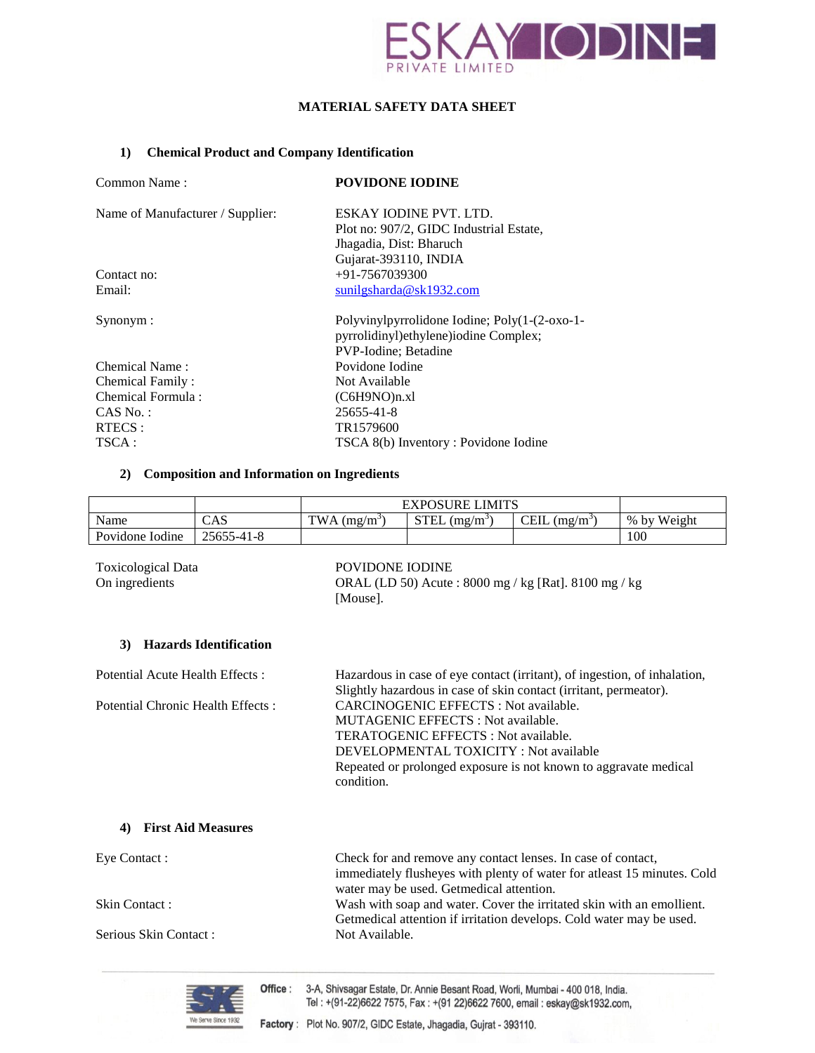

# **MATERIAL SAFETY DATA SHEET**

#### **1) Chemical Product and Company Identification**

| Common Name:                     | <b>POVIDONE IODINE</b>                                                                                         |
|----------------------------------|----------------------------------------------------------------------------------------------------------------|
| Name of Manufacturer / Supplier: | ESKAY IODINE PVT. LTD.                                                                                         |
|                                  | Plot no: 907/2, GIDC Industrial Estate,                                                                        |
|                                  | Jhagadia, Dist: Bharuch                                                                                        |
|                                  | Gujarat-393110, INDIA                                                                                          |
| Contact no:                      | $+91-7567039300$                                                                                               |
| Email:                           | sunilgsharda@sk1932.com                                                                                        |
| Synonym:                         | Polyvinylpyrrolidone Iodine; Poly(1-(2-oxo-1-<br>pyrrolidinyl)ethylene)iodine Complex;<br>PVP-Iodine; Betadine |
| Chemical Name:                   | Povidone Iodine                                                                                                |
| Chemical Family:                 | Not Available                                                                                                  |
| Chemical Formula:                | (C6H9NO)n.xl                                                                                                   |
| $CAS No.$ :                      | 25655-41-8                                                                                                     |
| RTECS :                          | TR1579600                                                                                                      |
| TSCA:                            | TSCA 8(b) Inventory : Povidone Iodine                                                                          |

#### **2) Composition and Information on Ingredients**

|                 |            | <b>EXPOSURE LIMITS</b>     |                       |               |             |
|-----------------|------------|----------------------------|-----------------------|---------------|-------------|
| Name            | CAS        | $TWA$ (mg/m <sup>3</sup> ) | <b>STEL</b><br>(mg/m) | CEIL<br>(mg/m | % by Weight |
| Povidone Iodine | 25655-41-8 |                            |                       |               | 100         |

# Toxicological Data POVIDONE IODINE

On ingredients ORAL (LD 50) Acute : 8000 mg / kg [Rat]. 8100 mg / kg [Mouse].

immediately flusheyes with plenty of water for atleast 15 minutes. Cold

Getmedical attention if irritation develops. Cold water may be used.

## **3) Hazards Identification**

Potential Acute Health Effects : Hazardous in case of eye contact (irritant), of ingestion, of inhalation, Slightly hazardous in case of skin contact (irritant, permeator). Potential Chronic Health Effects : CARCINOGENIC EFFECTS : Not available. MUTAGENIC EFFECTS : Not available. TERATOGENIC EFFECTS : Not available. DEVELOPMENTAL TOXICITY : Not available Repeated or prolonged exposure is not known to aggravate medical condition.

#### **4) First Aid Measures**

Eye Contact : Check for and remove any contact lenses. In case of contact,

Skin Contact : Wash with soap and water. Cover the irritated skin with an emollient.

Serious Skin Contact : Not Available.



water may be used. Getmedical attention.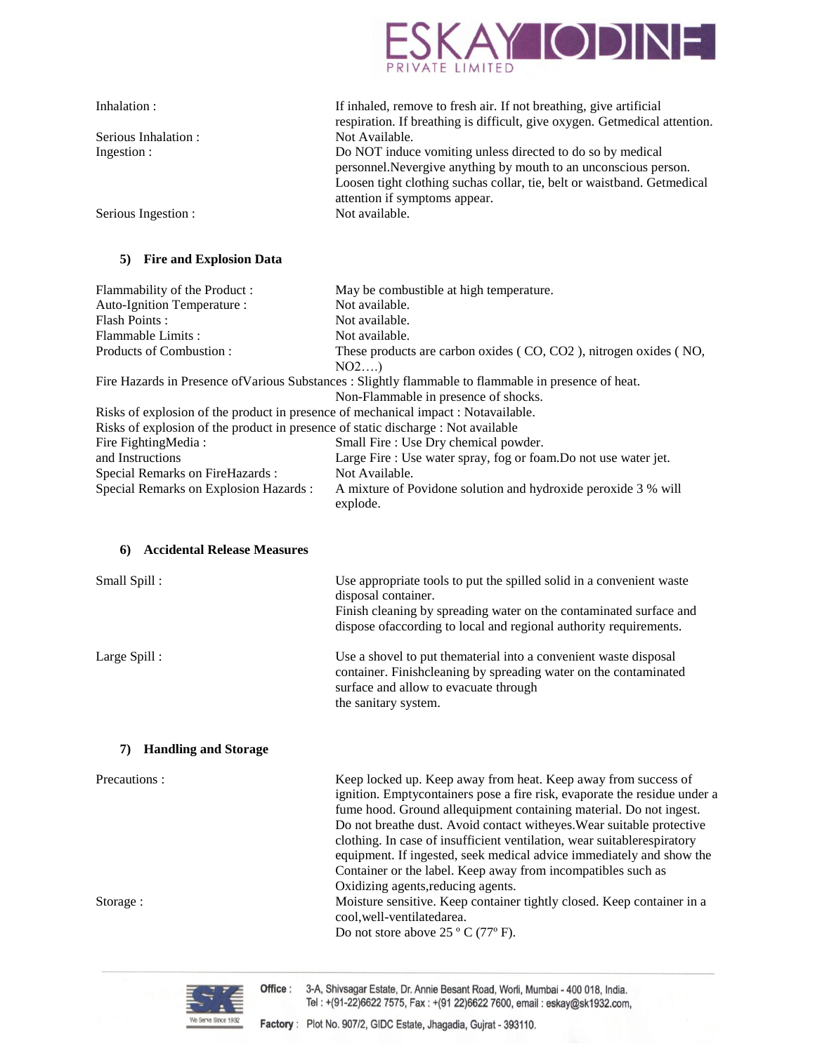

| If inhaled, remove to fresh air. If not breathing, give artificial         |
|----------------------------------------------------------------------------|
| respiration. If breathing is difficult, give oxygen. Getmedical attention. |
|                                                                            |
| Do NOT induce vomiting unless directed to do so by medical                 |
| personnel. Nevergive anything by mouth to an unconscious person.           |
| Loosen tight clothing suchas collar, tie, belt or waistband. Getmedical    |
|                                                                            |
|                                                                            |
|                                                                            |

## **5) Fire and Explosion Data**

| Flammability of the Product:                                                       | May be combustible at high temperature.                                                               |
|------------------------------------------------------------------------------------|-------------------------------------------------------------------------------------------------------|
| Auto-Ignition Temperature :                                                        | Not available.                                                                                        |
| Flash Points:                                                                      | Not available.                                                                                        |
| Flammable Limits:                                                                  | Not available.                                                                                        |
| Products of Combustion:                                                            | These products are carbon oxides (CO, CO2), nitrogen oxides (NO,                                      |
|                                                                                    | NO2                                                                                                   |
|                                                                                    | Fire Hazards in Presence of Various Substances : Slightly flammable to flammable in presence of heat. |
|                                                                                    | Non-Flammable in presence of shocks.                                                                  |
| Risks of explosion of the product in presence of mechanical impact : Notavailable. |                                                                                                       |
| Risks of explosion of the product in presence of static discharge : Not available  |                                                                                                       |
| Fire FightingMedia:                                                                | Small Fire : Use Dry chemical powder.                                                                 |
| and Instructions                                                                   | Large Fire : Use water spray, fog or foam. Do not use water jet.                                      |
| Special Remarks on FireHazards :                                                   | Not Available.                                                                                        |
| Special Remarks on Explosion Hazards :                                             | A mixture of Povidone solution and hydroxide peroxide 3 % will<br>explode.                            |

#### **6) Accidental Release Measures**

| Small Spill:                      | Use appropriate tools to put the spilled solid in a convenient waste<br>disposal container.<br>Finish cleaning by spreading water on the contaminated surface and<br>dispose of according to local and regional authority requirements.                                                                                                                                                                                                                                                                                                              |
|-----------------------------------|------------------------------------------------------------------------------------------------------------------------------------------------------------------------------------------------------------------------------------------------------------------------------------------------------------------------------------------------------------------------------------------------------------------------------------------------------------------------------------------------------------------------------------------------------|
| Large Spill:                      | Use a shovel to put the material into a convenient waste disposal<br>container. Finishcleaning by spreading water on the contaminated<br>surface and allow to evacuate through<br>the sanitary system.                                                                                                                                                                                                                                                                                                                                               |
| <b>Handling and Storage</b><br>7) |                                                                                                                                                                                                                                                                                                                                                                                                                                                                                                                                                      |
| Precautions:                      | Keep locked up. Keep away from heat. Keep away from success of<br>ignition. Emptycontainers pose a fire risk, evaporate the residue under a<br>fume hood. Ground allequipment containing material. Do not ingest.<br>Do not breathe dust. Avoid contact witheyes. Wear suitable protective<br>clothing. In case of insufficient ventilation, wear suitabler espiratory<br>equipment. If ingested, seek medical advice immediately and show the<br>Container or the label. Keep away from incompatibles such as<br>Oxidizing agents, reducing agents. |
| Storage:                          | Moisture sensitive. Keep container tightly closed. Keep container in a<br>cool, well-ventilatedarea.<br>Do not store above $25 °C$ (77°F).                                                                                                                                                                                                                                                                                                                                                                                                           |

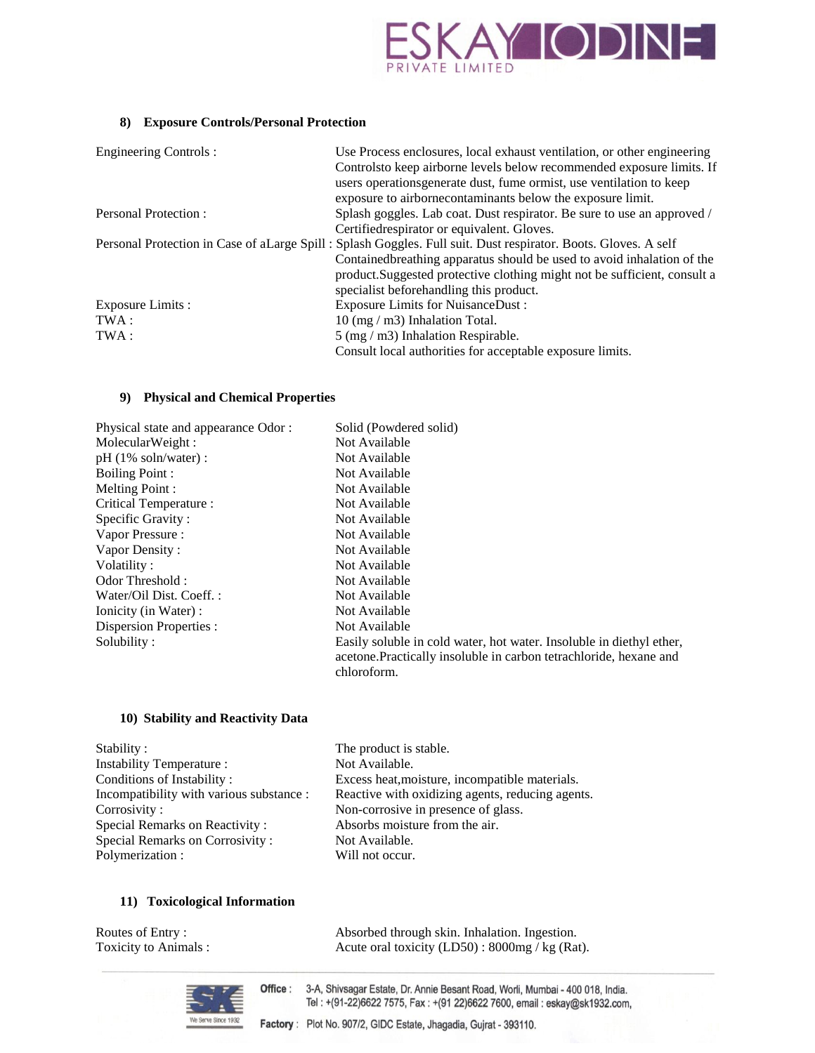

## **8) Exposure Controls/Personal Protection**

| <b>Engineering Controls:</b> | Use Process enclosures, local exhaust ventilation, or other engineering                                         |
|------------------------------|-----------------------------------------------------------------------------------------------------------------|
|                              | Controlsto keep airborne levels below recommended exposure limits. If                                           |
|                              | users operations generate dust, fume ormist, use ventilation to keep                                            |
|                              | exposure to airbornecontaminants below the exposure limit.                                                      |
| Personal Protection:         | Splash goggles. Lab coat. Dust respirator. Be sure to use an approved /                                         |
|                              | Certifiedrespirator or equivalent. Gloves.                                                                      |
|                              | Personal Protection in Case of a Large Spill: Splash Goggles. Full suit. Dust respirator. Boots. Gloves. A self |
|                              | Contained breathing apparatus should be used to avoid inhalation of the                                         |
|                              | product. Suggested protective clothing might not be sufficient, consult a                                       |
|                              | specialist beforehandling this product.                                                                         |
| Exposure Limits :            | <b>Exposure Limits for NuisanceDust:</b>                                                                        |
| TWA :                        | $10$ (mg / m3) Inhalation Total.                                                                                |
| TWA :                        | $5 \text{ (mg / m3)}$ Inhalation Respirable.                                                                    |
|                              | Consult local authorities for acceptable exposure limits.                                                       |

## **9) Physical and Chemical Properties**

| Physical state and appearance Odor: | Solid (Powdered solid)                                                                                                                                    |
|-------------------------------------|-----------------------------------------------------------------------------------------------------------------------------------------------------------|
| MolecularWeight:                    | Not Available                                                                                                                                             |
| $pH(1\% soln/water)$ :              | Not Available                                                                                                                                             |
| <b>Boiling Point:</b>               | Not Available                                                                                                                                             |
| Melting Point:                      | Not Available                                                                                                                                             |
| Critical Temperature :              | Not Available                                                                                                                                             |
| Specific Gravity:                   | Not Available                                                                                                                                             |
| Vapor Pressure:                     | Not Available                                                                                                                                             |
| Vapor Density:                      | Not Available                                                                                                                                             |
| Volatility:                         | Not Available                                                                                                                                             |
| Odor Threshold:                     | Not Available                                                                                                                                             |
| Water/Oil Dist. Coeff.:             | Not Available                                                                                                                                             |
| Ionicity (in Water) :               | Not Available                                                                                                                                             |
| Dispersion Properties :             | Not Available                                                                                                                                             |
| Solubility:                         | Easily soluble in cold water, hot water. Insoluble in diethyl ether,<br>acetone. Practically insoluble in carbon tetrachloride, hexane and<br>chloroform. |

## **10) Stability and Reactivity Data**

| Stability:                               | The product is stable.                           |
|------------------------------------------|--------------------------------------------------|
| Instability Temperature :                | Not Available.                                   |
| Conditions of Instability:               | Excess heat, moisture, incompatible materials.   |
| Incompatibility with various substance : | Reactive with oxidizing agents, reducing agents. |
| Corrosivity:                             | Non-corrosive in presence of glass.              |
| <b>Special Remarks on Reactivity:</b>    | Absorbs moisture from the air.                   |
| Special Remarks on Corrosivity:          | Not Available.                                   |
| Polymerization :                         | Will not occur.                                  |
|                                          |                                                  |

## **11) Toxicological Information**

| Routes of Entry:      | Absorbed through skin. Inhalation. Ingestion.     |
|-----------------------|---------------------------------------------------|
| Toxicity to Animals : | Acute oral toxicity $(LD50)$ : 8000mg / kg (Rat). |



Office : 3-A, Shivsagar Estate, Dr. Annie Besant Road, Worli, Mumbai - 400 018, India. Tel: +(91-22)6622 7575, Fax: +(91 22)6622 7600, email: eskay@sk1932.com,

Factory: Plot No. 907/2, GIDC Estate, Jhagadia, Gujrat - 393110.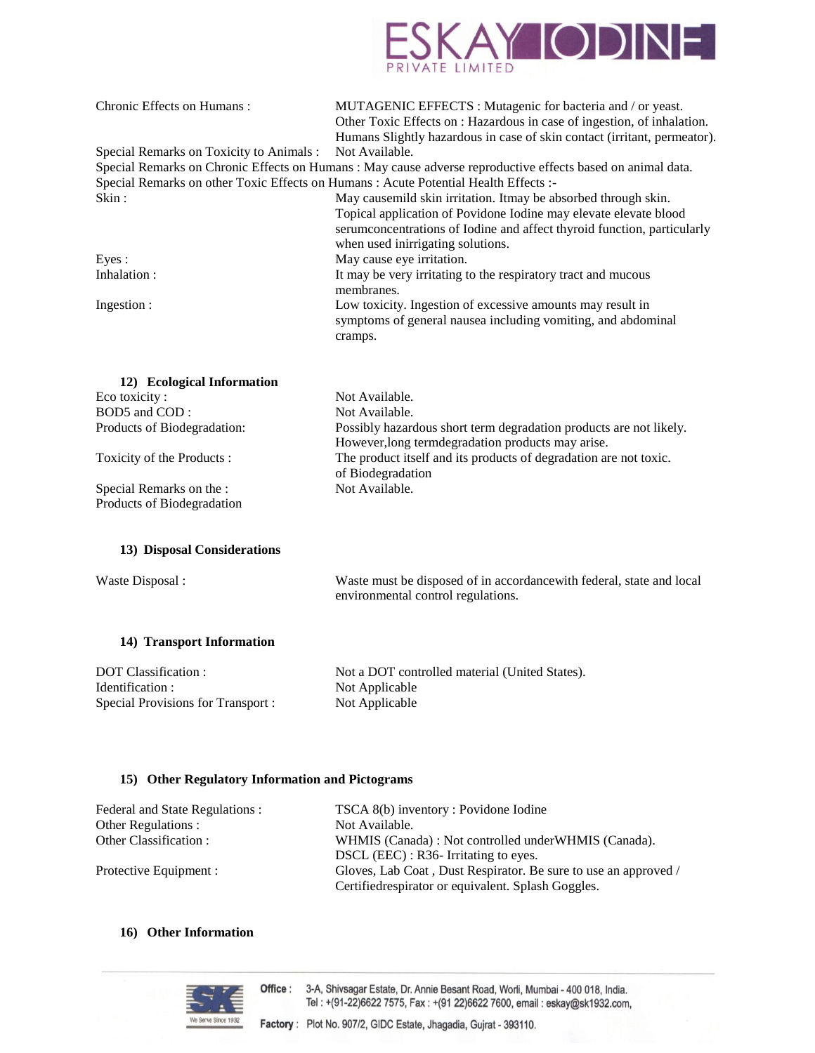

| Chronic Effects on Humans:                                                                                                                                                                                                                                                                                                                                                                                                        | MUTAGENIC EFFECTS : Mutagenic for bacteria and / or yeast.                                                                                                                                                                                                              |
|-----------------------------------------------------------------------------------------------------------------------------------------------------------------------------------------------------------------------------------------------------------------------------------------------------------------------------------------------------------------------------------------------------------------------------------|-------------------------------------------------------------------------------------------------------------------------------------------------------------------------------------------------------------------------------------------------------------------------|
|                                                                                                                                                                                                                                                                                                                                                                                                                                   | Other Toxic Effects on : Hazardous in case of ingestion, of inhalation.                                                                                                                                                                                                 |
|                                                                                                                                                                                                                                                                                                                                                                                                                                   | Humans Slightly hazardous in case of skin contact (irritant, permeator).                                                                                                                                                                                                |
| Special Remarks on Toxicity to Animals :                                                                                                                                                                                                                                                                                                                                                                                          | Not Available.                                                                                                                                                                                                                                                          |
|                                                                                                                                                                                                                                                                                                                                                                                                                                   | Special Remarks on Chronic Effects on Humans : May cause adverse reproductive effects based on animal data.                                                                                                                                                             |
|                                                                                                                                                                                                                                                                                                                                                                                                                                   | Special Remarks on other Toxic Effects on Humans : Acute Potential Health Effects :-                                                                                                                                                                                    |
| Skin:                                                                                                                                                                                                                                                                                                                                                                                                                             | May causemild skin irritation. Itmay be absorbed through skin.                                                                                                                                                                                                          |
|                                                                                                                                                                                                                                                                                                                                                                                                                                   | Topical application of Povidone Iodine may elevate elevate blood                                                                                                                                                                                                        |
|                                                                                                                                                                                                                                                                                                                                                                                                                                   | serumconcentrations of Iodine and affect thyroid function, particularly                                                                                                                                                                                                 |
|                                                                                                                                                                                                                                                                                                                                                                                                                                   | when used inirrigating solutions.                                                                                                                                                                                                                                       |
| Eyes:                                                                                                                                                                                                                                                                                                                                                                                                                             | May cause eye irritation.                                                                                                                                                                                                                                               |
| Inhalation:                                                                                                                                                                                                                                                                                                                                                                                                                       | It may be very irritating to the respiratory tract and mucous<br>membranes.                                                                                                                                                                                             |
| Ingestion:                                                                                                                                                                                                                                                                                                                                                                                                                        | Low toxicity. Ingestion of excessive amounts may result in                                                                                                                                                                                                              |
|                                                                                                                                                                                                                                                                                                                                                                                                                                   | symptoms of general nausea including vomiting, and abdominal                                                                                                                                                                                                            |
|                                                                                                                                                                                                                                                                                                                                                                                                                                   | cramps.                                                                                                                                                                                                                                                                 |
| 12) Ecological Information<br>Eco toxicity:<br>BOD5 and COD:<br>Products of Biodegradation:<br>Toxicity of the Products:<br>Special Remarks on the :<br>Products of Biodegradation                                                                                                                                                                                                                                                | Not Available.<br>Not Available.<br>Possibly hazardous short term degradation products are not likely.<br>However, long termdegradation products may arise.<br>The product itself and its products of degradation are not toxic.<br>of Biodegradation<br>Not Available. |
| 13) Disposal Considerations                                                                                                                                                                                                                                                                                                                                                                                                       |                                                                                                                                                                                                                                                                         |
| Waste Disposal:                                                                                                                                                                                                                                                                                                                                                                                                                   | Waste must be disposed of in accordance with federal, state and local<br>environmental control regulations.                                                                                                                                                             |
| 14) Transport Information                                                                                                                                                                                                                                                                                                                                                                                                         |                                                                                                                                                                                                                                                                         |
| $\overline{D}$ $\overline{D}$ $\overline{D}$ $\overline{D}$ $\overline{D}$ $\overline{D}$ $\overline{D}$ $\overline{D}$ $\overline{D}$ $\overline{D}$ $\overline{D}$ $\overline{D}$ $\overline{D}$ $\overline{D}$ $\overline{D}$ $\overline{D}$ $\overline{D}$ $\overline{D}$ $\overline{D}$ $\overline{D}$ $\overline{D}$ $\overline{D}$ $\overline{D}$ $\overline{D}$ $\overline{D}$ $\overline{D}$ $\overline{D}$ $\overline{$ | $Not a DOT$ controlled material (United States)                                                                                                                                                                                                                         |

| DOT Classification:               |  |
|-----------------------------------|--|
| Identification :                  |  |
| Special Provisions for Transport: |  |

Not a DOT controlled material (United States). Not Applicable Not Applicable

## **15) Other Regulatory Information and Pictograms**

| Federal and State Regulations : | TSCA 8(b) inventory : Povidone Iodine                           |
|---------------------------------|-----------------------------------------------------------------|
| Other Regulations :             | Not Available.                                                  |
| Other Classification :          | WHMIS (Canada): Not controlled under WHMIS (Canada).            |
|                                 | DSCL (EEC) : R36- Irritating to eyes.                           |
| Protective Equipment :          | Gloves, Lab Coat, Dust Respirator. Be sure to use an approved / |
|                                 | Certified respirator or equivalent. Splash Goggles.             |

## **16) Other Information**